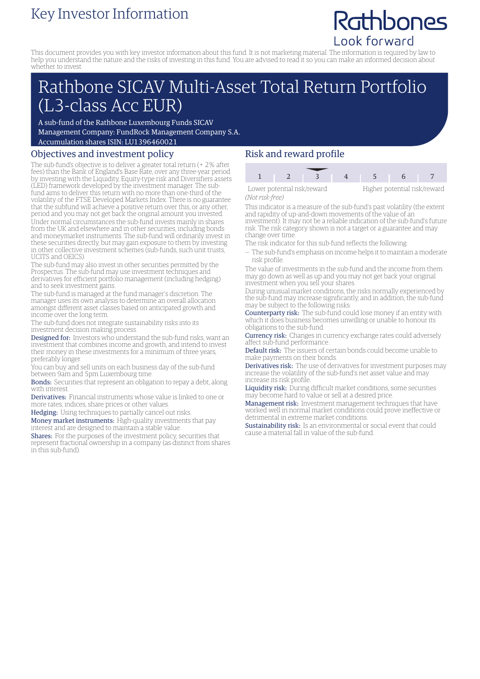# Key Investor Information

# Rathbones Look forward

This document provides you with key investor information about this fund. It is not marketing material. The information is required by law to help you understand the nature and the risks of investing in this fund. You are advised to read it so you can make an informed decision about whether to invest.

# Rathbone SICAV Multi-Asset Total Return Portfolio (L3-class Acc EUR)

A sub-fund of the Rathbone Luxembourg Funds SICAV Management Company: FundRock Management Company S.A. Accumulation shares ISIN: LU1396460021

## Objectives and investment policy

The sub-fund's objective is to deliver a greater total return (+ 2% after fees) than the Bank of England's Base Rate, over any three-year period by investing with the Liquidity, Equity-type risk and Diversifiers assets (LED) framework developed by the investment manager. The subfund aims to deliver this return with no more than one-third of the volatility of the FTSE Developed Markets Index. There is no guarantee that the subfund will achieve a positive return over this, or any other, period and you may not get back the original amount you invested. Under normal circumstances the sub-fund invests mainly in shares from the UK and elsewhere and in other securities, including bonds and moneymarket instruments. The sub-fund will ordinarily invest in these securities directly, but may gain exposure to them by investing in other collective investment schemes (sub-funds, such unit trusts, UCITS and OEICS).

The sub-fund may also invest in other securities permitted by the Prospectus. The sub-fund may use investment techniques and derivatives for efficient portfolio management (including hedging) and to seek investment gains.

The sub-fund is managed at the fund manager's discretion. The manager uses its own analysis to determine an overall allocation amongst different asset classes based on anticipated growth and income over the long term.

The sub-fund does not integrate sustainability risks into its investment decision making process.

Designed for: Investors who understand the sub-fund risks, want an investment that combines income and growth, and intend to invest their money in these investments for a minimum of three years, preferably longer.

You can buy and sell units on each business day of the sub-fund between 9am and 5pm Luxembourg time.

Bonds: Securities that represent an obligation to repay a debt, along with interest.

Derivatives: Financial instruments whose value is linked to one or more rates, indices, share prices or other values.

Hedging: Using techniques to partially cancel out risks.

Money market instruments: High-quality investments that pay interest and are designed to maintain a stable value.

Shares: For the purposes of the investment policy, securities that represent fractional ownership in a company (as distinct from shares in this sub-fund).

## Risk and reward profile



*(Not risk-free)*

This indicator is a measure of the sub-fund's past volatility (the extent and rapidity of up-and-down movements of the value of an investment). It may not be a reliable indication of the sub-fund's future risk. The risk category shown is not a target or a guarantee and may change over time.

- The risk indicator for this sub-fund reflects the following:
- The sub-fund's emphasis on income helps it to maintain a moderate risk profile.

The value of investments in the sub-fund and the income from them may go down as well as up and you may not get back your original investment when you sell your shares.

During unusual market conditions, the risks normally experienced by the sub-fund may increase significantly, and in addition, the sub-fund may be subject to the following risks:

Counterparty risk: The sub-fund could lose money if an entity with which it does business becomes unwilling or unable to honour its obligations to the sub-fund.

**Currency risk:** Changes in currency exchange rates could adversely affect sub-fund performance.

Default risk: The issuers of certain bonds could become unable to make payments on their bonds.

Derivatives risk: The use of derivatives for investment purposes may increase the volatility of the sub-fund's net asset value and may increase its risk profile.

Liquidity risk: During difficult market conditions, some securities may become hard to value or sell at a desired price.

Management risk: Investment management techniques that have worked well in normal market conditions could prove ineffective or detrimental in extreme market conditions.

Sustainability risk: Is an environmental or social event that could cause a material fall in value of the sub-fund.